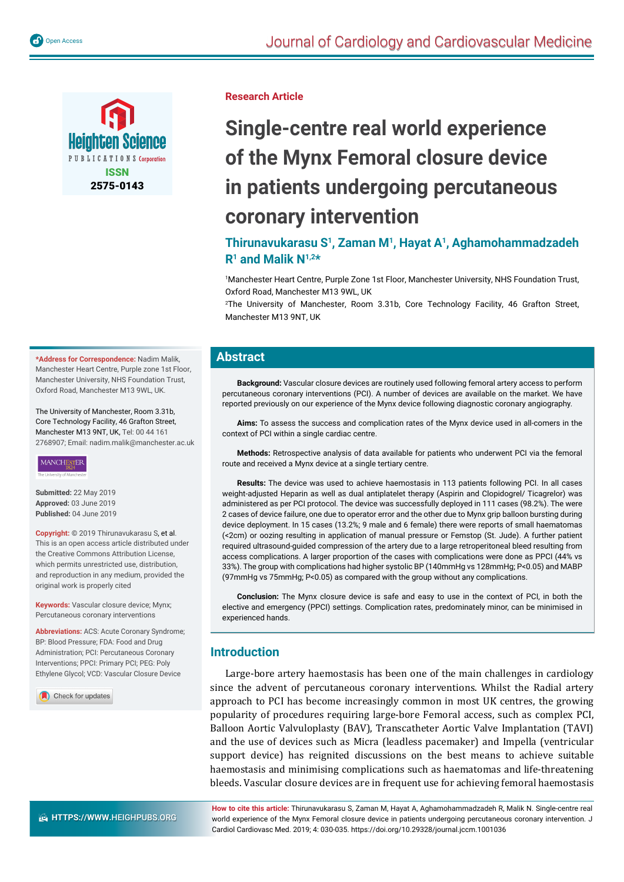

**Research Article**

# **Single-centre real world experience of the Mynx Femoral closure device in patients undergoing percutaneous coronary intervention**

**Thirunavukarasu S1, Zaman M1, Hayat A1, Aghamohammadzadeh R1 and Malik N1,2\***

1 Manchester Heart Centre, Purple Zone 1st Floor, Manchester University, NHS Foundation Trust, Oxford Road, Manchester M13 9WL, UK

2 The University of Manchester, Room 3.31b, Core Technology Facility, 46 Grafton Street, Manchester M13 9NT, UK

## **Abstract**

**Background:** Vascular closure devices are routinely used following femoral artery access to perform percutaneous coronary interventions (PCI). A number of devices are available on the market. We have reported previously on our experience of the Mynx device following diagnostic coronary angiography.

**Aims:** To assess the success and complication rates of the Mynx device used in all-comers in the context of PCI within a single cardiac centre.

**Methods:** Retrospective analysis of data available for patients who underwent PCI via the femoral route and received a Mynx device at a single tertiary centre.

**Results:** The device was used to achieve haemostasis in 113 patients following PCI. In all cases weight-adjusted Heparin as well as dual antiplatelet therapy (Aspirin and Clopidogrel/ Ticagrelor) was administered as per PCI protocol. The device was successfully deployed in 111 cases (98.2%). The were 2 cases of device failure, one due to operator error and the other due to Mynx grip balloon bursting during device deployment. In 15 cases (13.2%; 9 male and 6 female) there were reports of small haematomas (<2cm) or oozing resulting in application of manual pressure or Femstop (St. Jude). A further patient required ultrasound-guided compression of the artery due to a large retroperitoneal bleed resulting from access complications. A larger proportion of the cases with complications were done as PPCI (44% vs 33%). The group with complications had higher systolic BP (140mmHg vs 128mmHg; P<0.05) and MABP (97mmHg vs 75mmHg; P<0.05) as compared with the group without any complications.

**Conclusion:** The Mynx closure device is safe and easy to use in the context of PCI, in both the elective and emergency (PPCI) settings. Complication rates, predominately minor, can be minimised in experienced hands.

# **Introduction**

Large-bore artery haemostasis has been one of the main challenges in cardiology since the advent of percutaneous coronary interventions. Whilst the Radial artery approach to PCI has become increasingly common in most UK centres, the growing popularity of procedures requiring large-bore Femoral access, such as complex PCI, Balloon Aortic Valvuloplasty (BAV), Transcatheter Aortic Valve Implantation (TAVI) and the use of devices such as Micra (leadless pacemaker) and Impella (ventricular support device) has reignited discussions on the best means to achieve suitable haemostasis and minimising complications such as haematomas and life-threatening bleeds. Vascular closure devices are in frequent use for achieving femoral haemostasis

**\*Address for Correspondence:** Nadim Malik, Manchester Heart Centre, Purple zone 1st Floor, Manchester University, NHS Foundation Trust, Oxford Road, Manchester M13 9WL, UK.

The University of Manchester, Room 3.31b, Core Technology Facility, 46 Grafton Street, Manchester M13 9NT, UK, Tel: 00 44 161 2768907; Email: nadim.malik@manchester.ac.uk

## **MANCHESTER**

**Submitted:** 22 May 2019 **Approved:** 03 June 2019 **Published:** 04 June 2019

**Copyright:** © 2019 Thirunavukarasu S, et al. This is an open access article distributed under the Creative Commons Attribution License, which permits unrestricted use, distribution, and reproduction in any medium, provided the original work is properly cited

**Keywords:** Vascular closure device; Mynx; Percutaneous coronary interventions

**Abbreviations:** ACS: Acute Coronary Syndrome; BP: Blood Pressure; FDA: Food and Drug Administration; PCI: Percutaneous Coronary Interventions; PPCI: Primary PCI; PEG: Poly Ethylene Glycol; VCD: Vascular Closure Device

Check for updates

**How to cite this article:** Thirunavukarasu S, Zaman M, Hayat A, Aghamohammadzadeh R, Malik N. Single-centre real world experience of the Mynx Femoral closure device in patients undergoing percutaneous coronary intervention. J Cardiol Cardiovasc Med. 2019; 4: 030-035. https://doi.org/10.29328/journal.jccm.1001036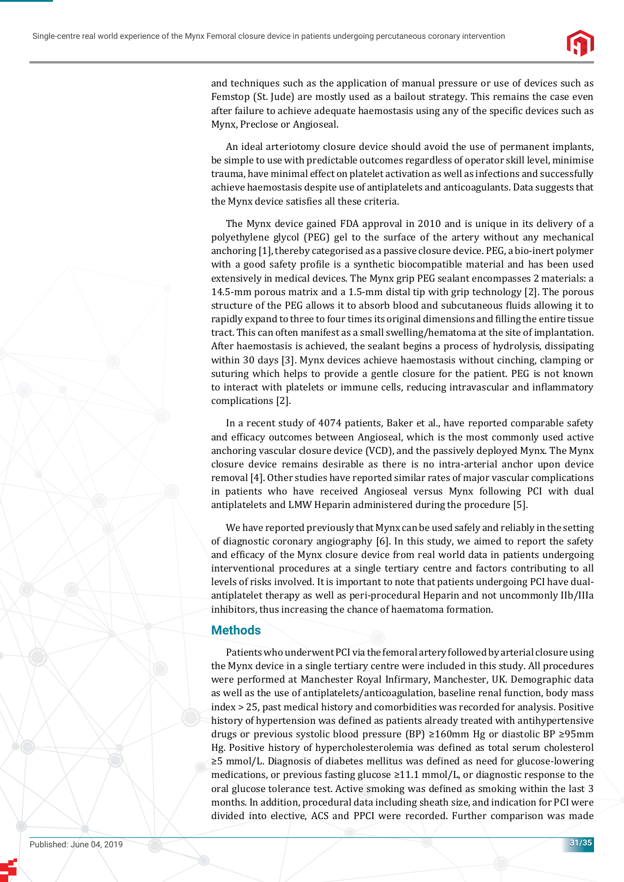

and techniques such as the application of manual pressure or use of devices such as Femstop (St. Jude) are mostly used as a bailout strategy. This remains the case even after failure to achieve adequate haemostasis using any of the specific devices such as Mynx, Preclose or Angioseal.

An ideal arteriotomy closure device should avoid the use of permanent implants, be simple to use with predictable outcomes regardless of operator skill level, minimise trauma, have minimal effect on platelet activation as well as infections and successfully achieve haemostasis despite use of antiplatelets and anticoagulants. Data suggests that the Mynx device satisfies all these criteria.

The Mynx device gained FDA approval in 2010 and is unique in its delivery of a polyethylene glycol (PEG) gel to the surface of the artery without any mechanical anchoring [1], thereby categorised as a passive closure device. PEG, a bio-inert polymer with a good safety profile is a synthetic biocompatible material and has been used extensively in medical devices. The Mynx grip PEG sealant encompasses 2 materials: a 14.5-mm porous matrix and a 1.5-mm distal tip with grip technology [2]. The porous structure of the PEG allows it to absorb blood and subcutaneous fluids allowing it to rapidly expand to three to four times its original dimensions and filling the entire tissue tract. This can often manifest as a small swelling/hematoma at the site of implantation. After haemostasis is achieved, the sealant begins a process of hydrolysis, dissipating within 30 days [3]. Mynx devices achieve haemostasis without cinching, clamping or suturing which helps to provide a gentle closure for the patient. PEG is not known to interact with platelets or immune cells, reducing intravascular and inflammatory complications [2].

In a recent study of 4074 patients, Baker et al., have reported comparable safety and efficacy outcomes between Angioseal, which is the most commonly used active anchoring vascular closure device (VCD), and the passively deployed Mynx. The Mynx closure device remains desirable as there is no intra-arterial anchor upon device removal [4]. Other studies have reported similar rates of major vascular complications in patients who have received Angioseal versus Mynx following PCI with dual antiplatelets and LMW Heparin administered during the procedure [5].

We have reported previously that Mynx can be used safely and reliably in the setting of diagnostic coronary angiography [6]. In this study, we aimed to report the safety and efficacy of the Mynx closure device from real world data in patients undergoing interventional procedures at a single tertiary centre and factors contributing to all levels of risks involved. It is important to note that patients undergoing PCI have dualantiplatelet therapy as well as peri-procedural Heparin and not uncommonly IIb/IIIa inhibitors, thus increasing the chance of haematoma formation.

# **Methods**

Patients who underwent PCI via the femoral artery followed by arterial closure using the Mynx device in a single tertiary centre were included in this study. All procedures were performed at Manchester Royal Infirmary, Manchester, UK. Demographic data as well as the use of antiplatelets/anticoagulation, baseline renal function, body mass index > 25, past medical history and comorbidities was recorded for analysis. Positive history of hypertension was defined as patients already treated with antihypertensive drugs or previous systolic blood pressure (BP) ≥160mm Hg or diastolic BP ≥95mm Hg. Positive history of hypercholesterolemia was defined as total serum cholesterol ≥5 mmol/L. Diagnosis of diabetes mellitus was defined as need for glucose-lowering medications, or previous fasting glucose  $\geq 11.1$  mmol/L, or diagnostic response to the oral glucose tolerance test. Active smoking was defined as smoking within the last 3 months. In addition, procedural data including sheath size, and indication for PCI were divided into elective, ACS and PPCI were recorded. Further comparison was made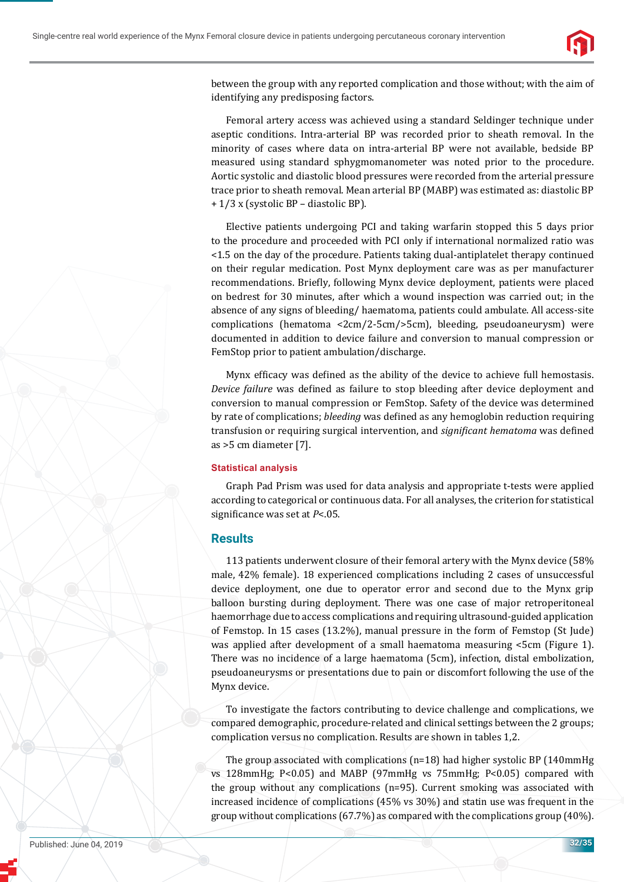

between the group with any reported complication and those without; with the aim of identifying any predisposing factors.

Femoral artery access was achieved using a standard Seldinger technique under aseptic conditions. Intra-arterial BP was recorded prior to sheath removal. In the minority of cases where data on intra-arterial BP were not available, bedside BP measured using standard sphygmomanometer was noted prior to the procedure. Aortic systolic and diastolic blood pressures were recorded from the arterial pressure trace prior to sheath removal. Mean arterial BP (MABP) was estimated as: diastolic BP + 1/3 x (systolic BP – diastolic BP).

Elective patients undergoing PCI and taking warfarin stopped this 5 days prior to the procedure and proceeded with PCI only if international normalized ratio was <1.5 on the day of the procedure. Patients taking dual-antiplatelet therapy continued on their regular medication. Post Mynx deployment care was as per manufacturer recommendations. Briefly, following Mynx device deployment, patients were placed on bedrest for 30 minutes, after which a wound inspection was carried out; in the absence of any signs of bleeding/ haematoma, patients could ambulate. All access-site complications (hematoma <2cm/2-5cm/>5cm), bleeding, pseudoaneurysm) were documented in addition to device failure and conversion to manual compression or FemStop prior to patient ambulation/discharge.

Mynx efficacy was defined as the ability of the device to achieve full hemostasis. *Device failure* was defined as failure to stop bleeding after device deployment and conversion to manual compression or FemStop. Safety of the device was determined by rate of complications; *bleeding* was defined as any hemoglobin reduction requiring transfusion or requiring surgical intervention, and *significant hematoma* was defined as >5 cm diameter [7].

#### **Statistical analysis**

Graph Pad Prism was used for data analysis and appropriate t-tests were applied according to categorical or continuous data. For all analyses, the criterion for statistical significance was set at *P*<.05.

## **Results**

113 patients underwent closure of their femoral artery with the Mynx device (58% male, 42% female). 18 experienced complications including 2 cases of unsuccessful device deployment, one due to operator error and second due to the Mynx grip balloon bursting during deployment. There was one case of major retroperitoneal haemorrhage due to access complications and requiring ultrasound-guided application of Femstop. In 15 cases (13.2%), manual pressure in the form of Femstop (St Jude) was applied after development of a small haematoma measuring <5cm (Figure 1). There was no incidence of a large haematoma (5cm), infection, distal embolization, pseudoaneurysms or presentations due to pain or discomfort following the use of the Mynx device.

To investigate the factors contributing to device challenge and complications, we compared demographic, procedure-related and clinical settings between the 2 groups; complication versus no complication. Results are shown in tables 1,2.

The group associated with complications ( $n=18$ ) had higher systolic BP (140mmHg) vs 128mmHg; P<0.05) and MABP (97mmHg vs 75mmHg; P<0.05) compared with the group without any complications (n=95). Current smoking was associated with increased incidence of complications (45% vs 30%) and statin use was frequent in the group without complications (67.7%) as compared with the complications group (40%).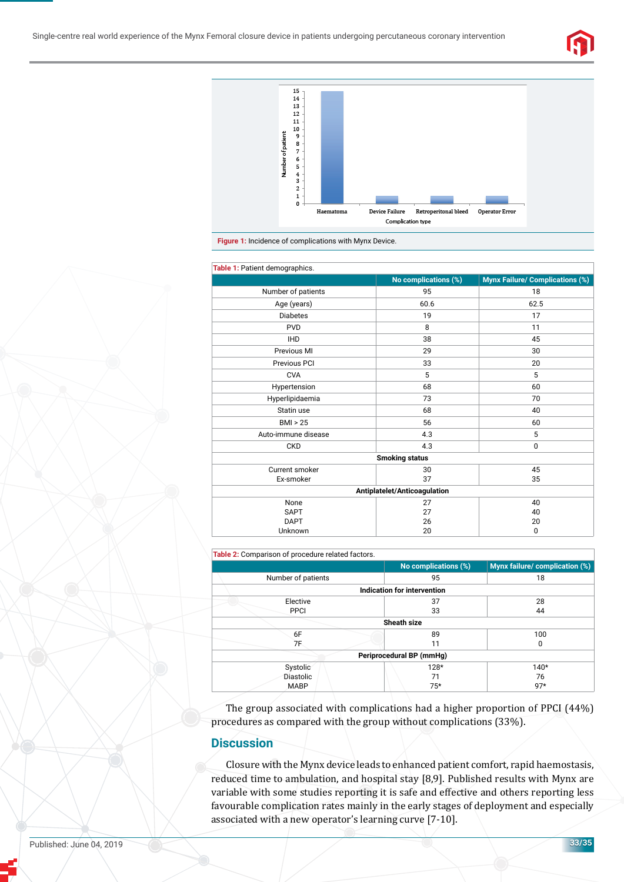





| Table 1: Patient demographics. |                      |                                        |  |
|--------------------------------|----------------------|----------------------------------------|--|
|                                | No complications (%) | <b>Mynx Failure/ Complications (%)</b> |  |
| Number of patients             | 95                   | 18                                     |  |
| Age (years)                    | 60.6                 | 62.5                                   |  |
| <b>Diabetes</b>                | 19                   | 17                                     |  |
| <b>PVD</b>                     | 8                    | 11                                     |  |
| <b>IHD</b>                     | 38                   | 45                                     |  |
| Previous MI                    | 29                   | 30                                     |  |
| Previous PCI                   | 33                   | 20                                     |  |
| <b>CVA</b>                     | 5                    | 5                                      |  |
| Hypertension                   | 68                   | 60                                     |  |
| Hyperlipidaemia                | 73                   | 70                                     |  |
| Statin use                     | 68                   | 40                                     |  |
| BMI > 25                       | 56                   | 60                                     |  |
| Auto-immune disease            | 4.3                  | 5                                      |  |
| <b>CKD</b>                     | 4.3                  | 0                                      |  |
| <b>Smoking status</b>          |                      |                                        |  |
| Current smoker                 | 30                   | 45                                     |  |
| Ex-smoker                      | 37                   | 35                                     |  |
| Antiplatelet/Anticoagulation   |                      |                                        |  |
| None                           | 27                   | 40                                     |  |
| <b>SAPT</b>                    | 27                   | 40                                     |  |
| <b>DAPT</b>                    | 26                   | 20                                     |  |
| Unknown                        | 20                   | 0                                      |  |

#### **Table 2:** Comparison of procedure related factors.

|                    | No complications (%)        | Mynx failure/ complication (%) |
|--------------------|-----------------------------|--------------------------------|
| Number of patients | 95                          | 18                             |
|                    | Indication for intervention |                                |
| Elective           | 37                          | 28                             |
| <b>PPCI</b>        | 33                          | 44                             |
|                    | <b>Sheath size</b>          |                                |
| 6F                 | 89                          | 100                            |
| 7F                 | 11                          | 0                              |
|                    | Periprocedural BP (mmHg)    |                                |
| Systolic           | 128*                        | $140*$                         |
| <b>Diastolic</b>   | 71                          | 76                             |
| <b>MABP</b>        | $75*$                       | $97*$                          |

The group associated with complications had a higher proportion of PPCI (44%) procedures as compared with the group without complications (33%).

#### **Discussion**

Closure with the Mynx device leads to enhanced patient comfort, rapid haemostasis, reduced time to ambulation, and hospital stay [8,9]. Published results with Mynx are variable with some studies reporting it is safe and effective and others reporting less favourable complication rates mainly in the early stages of deployment and especially associated with a new operator's learning curve [7-10].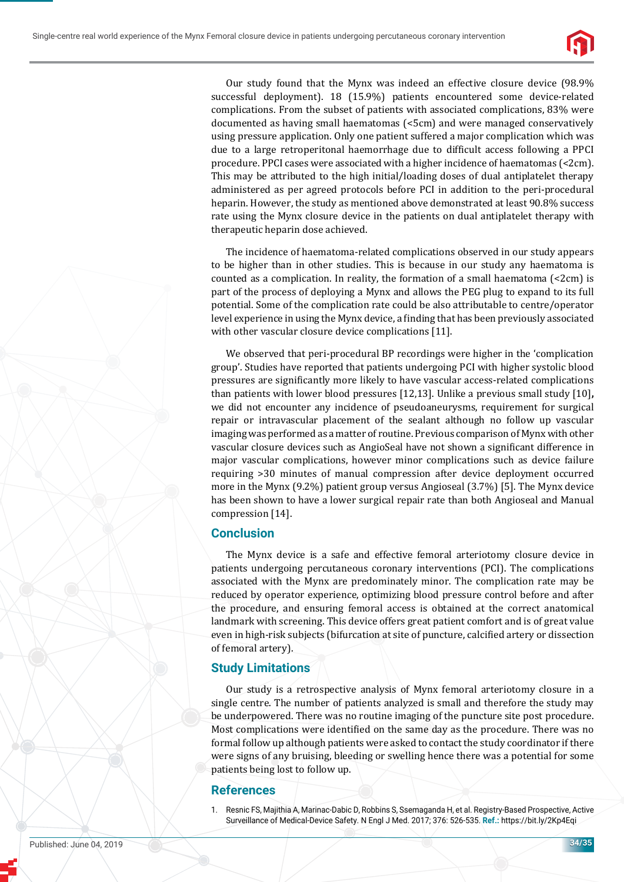

Our study found that the Mynx was indeed an effective closure device (98.9% successful deployment). 18 (15.9%) patients encountered some device-related complications. From the subset of patients with associated complications, 83% were documented as having small haematomas (<5cm) and were managed conservatively using pressure application. Only one patient suffered a major complication which was due to a large retroperitonal haemorrhage due to difficult access following a PPCI procedure. PPCI cases were associated with a higher incidence of haematomas (<2cm). This may be attributed to the high initial/loading doses of dual antiplatelet therapy administered as per agreed protocols before PCI in addition to the peri-procedural heparin. However, the study as mentioned above demonstrated at least 90.8% success rate using the Mynx closure device in the patients on dual antiplatelet therapy with therapeutic heparin dose achieved.

The incidence of haematoma-related complications observed in our study appears to be higher than in other studies. This is because in our study any haematoma is counted as a complication. In reality, the formation of a small haematoma (<2cm) is part of the process of deploying a Mynx and allows the PEG plug to expand to its full potential. Some of the complication rate could be also attributable to centre/operator level experience in using the Mynx device, a finding that has been previously associated with other vascular closure device complications [11].

We observed that peri-procedural BP recordings were higher in the 'complication group'. Studies have reported that patients undergoing PCI with higher systolic blood pressures are significantly more likely to have vascular access-related complications than patients with lower blood pressures [12,13]. Unlike a previous small study [10]**,**  we did not encounter any incidence of pseudoaneurysms, requirement for surgical repair or intravascular placement of the sealant although no follow up vascular imaging was performed as a matter of routine. Previous comparison of Mynx with other vascular closure devices such as AngioSeal have not shown a significant difference in major vascular complications, however minor complications such as device failure requiring >30 minutes of manual compression after device deployment occurred more in the Mynx (9.2%) patient group versus Angioseal (3.7%) [5]. The Mynx device has been shown to have a lower surgical repair rate than both Angioseal and Manual compression [14].

## **Conclusion**

The Mynx device is a safe and effective femoral arteriotomy closure device in patients undergoing percutaneous coronary interventions (PCI). The complications associated with the Mynx are predominately minor. The complication rate may be reduced by operator experience, optimizing blood pressure control before and after the procedure, and ensuring femoral access is obtained at the correct anatomical landmark with screening. This device offers great patient comfort and is of great value even in high-risk subjects (bifurcation at site of puncture, calcified artery or dissection of femoral artery).

# **Study Limitations**

Our study is a retrospective analysis of Mynx femoral arteriotomy closure in a single centre. The number of patients analyzed is small and therefore the study may be underpowered. There was no routine imaging of the puncture site post procedure. Most complications were identified on the same day as the procedure. There was no formal follow up although patients were asked to contact the study coordinator if there were signs of any bruising, bleeding or swelling hence there was a potential for some patients being lost to follow up.

## **References**

1. Resnic FS, Majithia A, Marinac-Dabic D, Robbins S, Ssemaganda H, et al. Registry-Based Prospective, Active Surveillance of Medical-Device Safety. N Engl J Med. 2017; 376: 526-535. **Ref.:** https://bit.ly/2Kp4Eqi